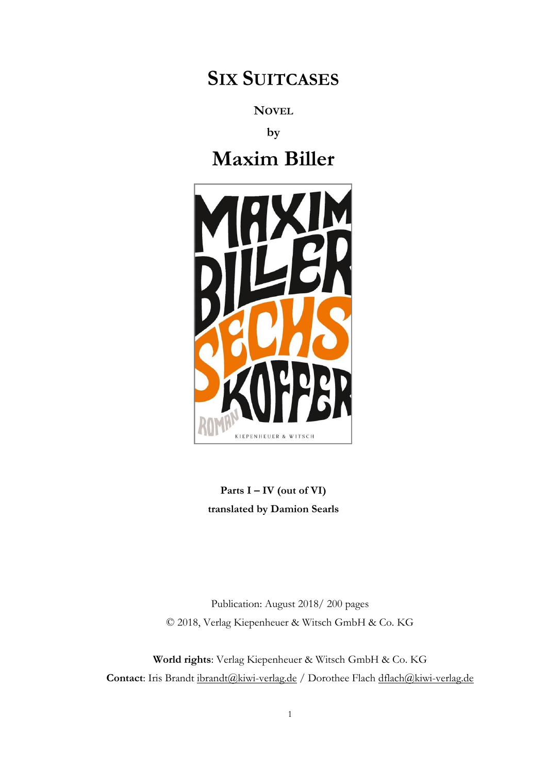## **SIX SUITCASES**

**NOVEL**

**by**

**Maxim Biller**



**Parts I – IV (out of VI) translated by Damion Searls**

Publication: August 2018/ 200 pages © 2018, Verlag Kiepenheuer & Witsch GmbH & Co. KG

**World rights**: Verlag Kiepenheuer & Witsch GmbH & Co. KG Contact: Iris Brandt [ibrandt@kiwi-verlag.de](mailto:ibrandt@kiwi-verlag.de) / Dorothee Flach dflach@kiwi-verlag.de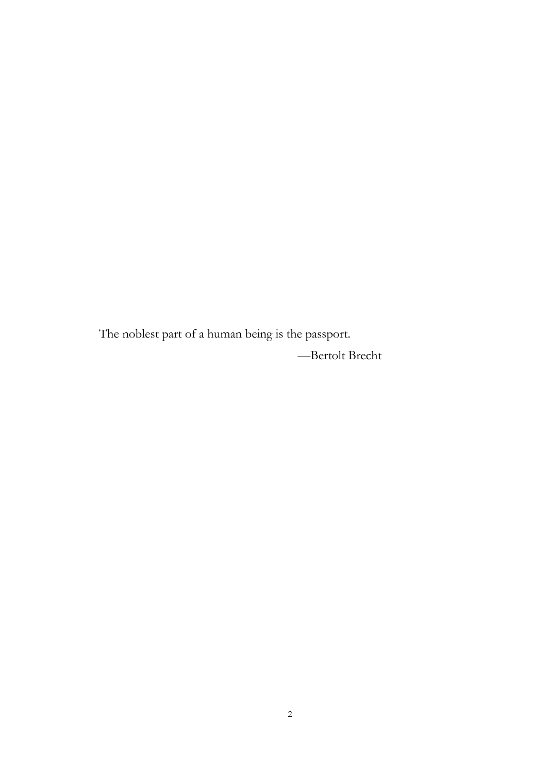The noblest part of a human being is the passport. —Bertolt Brecht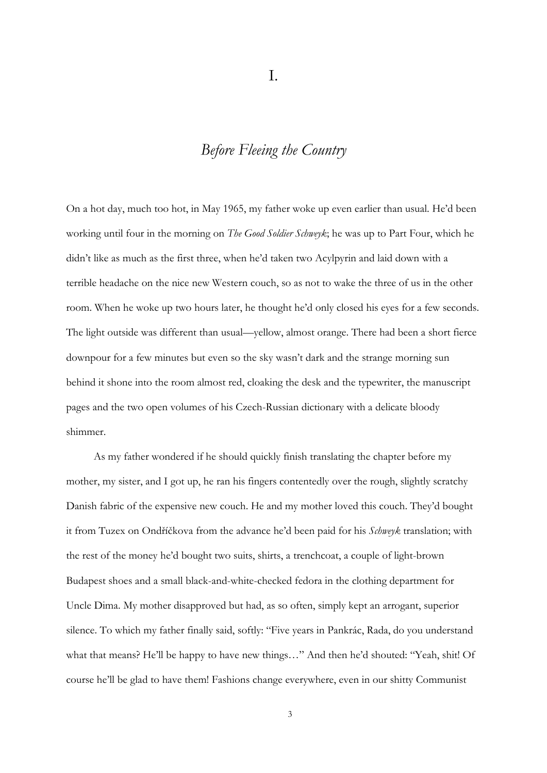## *Before Fleeing the Country*

On a hot day, much too hot, in May 1965, my father woke up even earlier than usual. He'd been working until four in the morning on *The Good Soldier Schweyk*; he was up to Part Four, which he didn't like as much as the first three, when he'd taken two Acylpyrin and laid down with a terrible headache on the nice new Western couch, so as not to wake the three of us in the other room. When he woke up two hours later, he thought he'd only closed his eyes for a few seconds. The light outside was different than usual—yellow, almost orange. There had been a short fierce downpour for a few minutes but even so the sky wasn't dark and the strange morning sun behind it shone into the room almost red, cloaking the desk and the typewriter, the manuscript pages and the two open volumes of his Czech-Russian dictionary with a delicate bloody shimmer.

As my father wondered if he should quickly finish translating the chapter before my mother, my sister, and I got up, he ran his fingers contentedly over the rough, slightly scratchy Danish fabric of the expensive new couch. He and my mother loved this couch. They'd bought it from Tuzex on Ondříčkova from the advance he'd been paid for his *Schweyk* translation; with the rest of the money he'd bought two suits, shirts, a trenchcoat, a couple of light-brown Budapest shoes and a small black-and-white-checked fedora in the clothing department for Uncle Dima. My mother disapproved but had, as so often, simply kept an arrogant, superior silence. To which my father finally said, softly: "Five years in Pankrác, Rada, do you understand what that means? He'll be happy to have new things…" And then he'd shouted: "Yeah, shit! Of course he'll be glad to have them! Fashions change everywhere, even in our shitty Communist

I.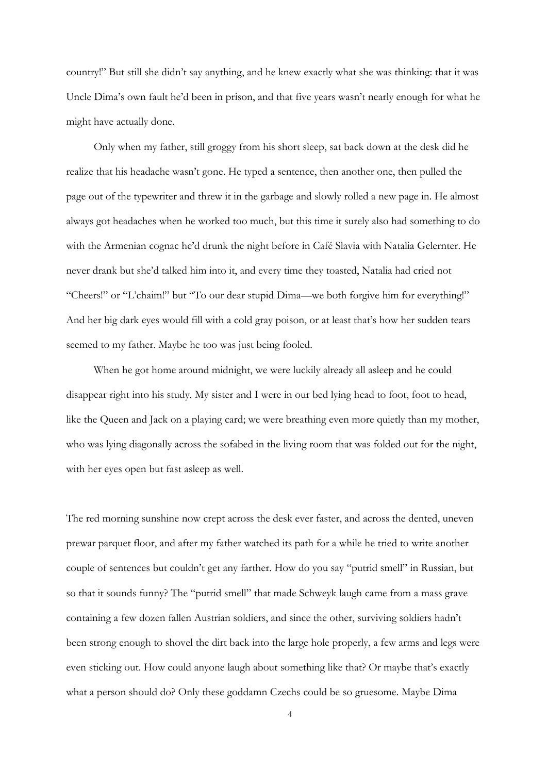country!" But still she didn't say anything, and he knew exactly what she was thinking: that it was Uncle Dima's own fault he'd been in prison, and that five years wasn't nearly enough for what he might have actually done.

Only when my father, still groggy from his short sleep, sat back down at the desk did he realize that his headache wasn't gone. He typed a sentence, then another one, then pulled the page out of the typewriter and threw it in the garbage and slowly rolled a new page in. He almost always got headaches when he worked too much, but this time it surely also had something to do with the Armenian cognac he'd drunk the night before in Café Slavia with Natalia Gelernter. He never drank but she'd talked him into it, and every time they toasted, Natalia had cried not "Cheers!" or "L'chaim!" but "To our dear stupid Dima—we both forgive him for everything!" And her big dark eyes would fill with a cold gray poison, or at least that's how her sudden tears seemed to my father. Maybe he too was just being fooled.

When he got home around midnight, we were luckily already all asleep and he could disappear right into his study. My sister and I were in our bed lying head to foot, foot to head, like the Queen and Jack on a playing card; we were breathing even more quietly than my mother, who was lying diagonally across the sofabed in the living room that was folded out for the night, with her eyes open but fast asleep as well.

The red morning sunshine now crept across the desk ever faster, and across the dented, uneven prewar parquet floor, and after my father watched its path for a while he tried to write another couple of sentences but couldn't get any farther. How do you say "putrid smell" in Russian, but so that it sounds funny? The "putrid smell" that made Schweyk laugh came from a mass grave containing a few dozen fallen Austrian soldiers, and since the other, surviving soldiers hadn't been strong enough to shovel the dirt back into the large hole properly, a few arms and legs were even sticking out. How could anyone laugh about something like that? Or maybe that's exactly what a person should do? Only these goddamn Czechs could be so gruesome. Maybe Dima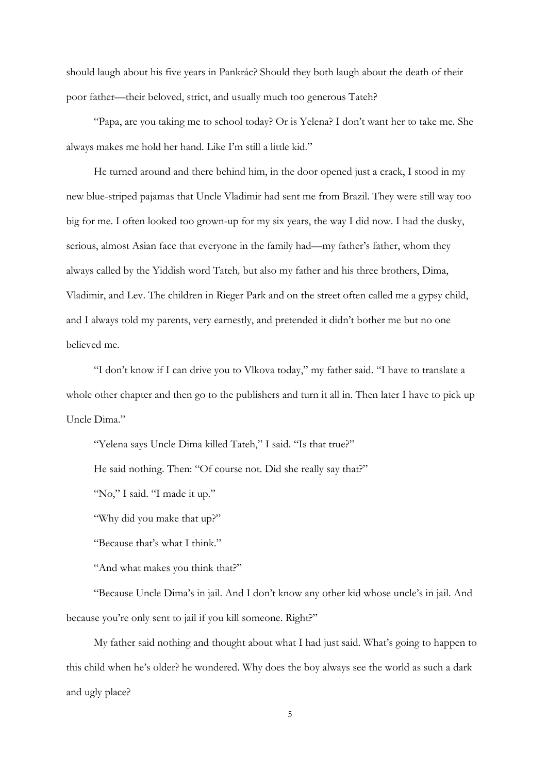should laugh about his five years in Pankrác? Should they both laugh about the death of their poor father—their beloved, strict, and usually much too generous Tateh?

"Papa, are you taking me to school today? Or is Yelena? I don't want her to take me. She always makes me hold her hand. Like I'm still a little kid."

He turned around and there behind him, in the door opened just a crack, I stood in my new blue-striped pajamas that Uncle Vladimir had sent me from Brazil. They were still way too big for me. I often looked too grown-up for my six years, the way I did now. I had the dusky, serious, almost Asian face that everyone in the family had—my father's father, whom they always called by the Yiddish word Tateh*,* but also my father and his three brothers, Dima, Vladimir, and Lev. The children in Rieger Park and on the street often called me a gypsy child, and I always told my parents, very earnestly, and pretended it didn't bother me but no one believed me.

"I don't know if I can drive you to Vlkova today," my father said. "I have to translate a whole other chapter and then go to the publishers and turn it all in. Then later I have to pick up Uncle Dima."

"Yelena says Uncle Dima killed Tateh," I said. "Is that true?"

He said nothing. Then: "Of course not. Did she really say that?"

"No," I said. "I made it up."

"Why did you make that up?"

"Because that's what I think."

"And what makes you think that?"

"Because Uncle Dima's in jail. And I don't know any other kid whose uncle's in jail. And because you're only sent to jail if you kill someone. Right?"

My father said nothing and thought about what I had just said. What's going to happen to this child when he's older? he wondered. Why does the boy always see the world as such a dark and ugly place?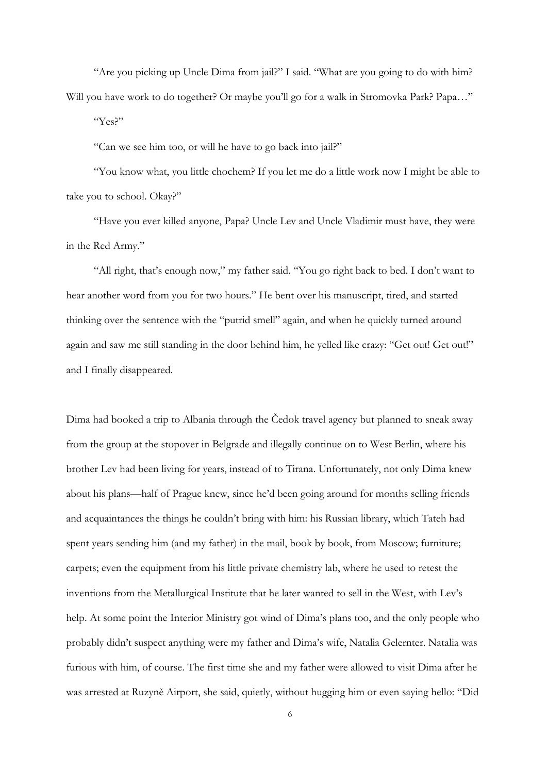"Are you picking up Uncle Dima from jail?" I said. "What are you going to do with him? Will you have work to do together? Or maybe you'll go for a walk in Stromovka Park? Papa..."

"Yes?"

"Can we see him too, or will he have to go back into jail?"

"You know what, you little chochem? If you let me do a little work now I might be able to take you to school. Okay?"

"Have you ever killed anyone, Papa? Uncle Lev and Uncle Vladimir must have, they were in the Red Army."

"All right, that's enough now," my father said. "You go right back to bed. I don't want to hear another word from you for two hours." He bent over his manuscript, tired, and started thinking over the sentence with the "putrid smell" again, and when he quickly turned around again and saw me still standing in the door behind him, he yelled like crazy: "Get out! Get out!" and I finally disappeared.

Dima had booked a trip to Albania through the Čedok travel agency but planned to sneak away from the group at the stopover in Belgrade and illegally continue on to West Berlin, where his brother Lev had been living for years, instead of to Tirana. Unfortunately, not only Dima knew about his plans—half of Prague knew, since he'd been going around for months selling friends and acquaintances the things he couldn't bring with him: his Russian library, which Tateh had spent years sending him (and my father) in the mail, book by book, from Moscow; furniture; carpets; even the equipment from his little private chemistry lab, where he used to retest the inventions from the Metallurgical Institute that he later wanted to sell in the West, with Lev's help. At some point the Interior Ministry got wind of Dima's plans too, and the only people who probably didn't suspect anything were my father and Dima's wife, Natalia Gelernter. Natalia was furious with him, of course. The first time she and my father were allowed to visit Dima after he was arrested at Ruzyně Airport, she said, quietly, without hugging him or even saying hello: "Did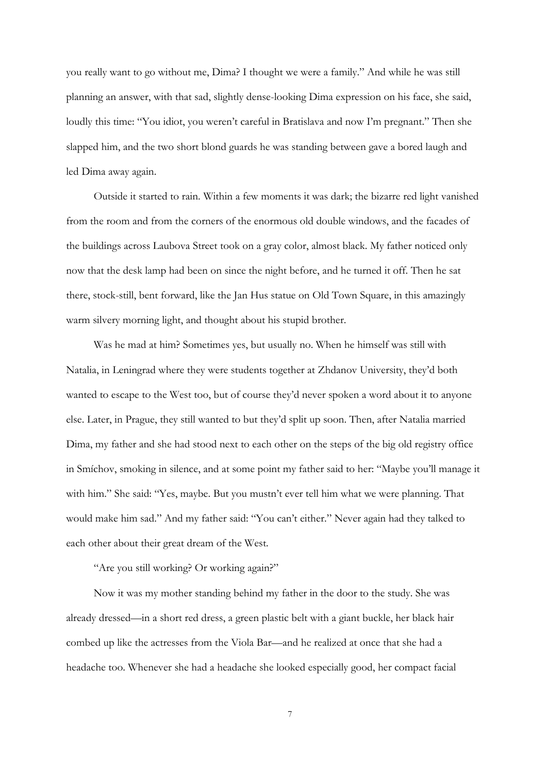you really want to go without me, Dima? I thought we were a family." And while he was still planning an answer, with that sad, slightly dense-looking Dima expression on his face, she said, loudly this time: "You idiot, you weren't careful in Bratislava and now I'm pregnant." Then she slapped him, and the two short blond guards he was standing between gave a bored laugh and led Dima away again.

Outside it started to rain. Within a few moments it was dark; the bizarre red light vanished from the room and from the corners of the enormous old double windows, and the facades of the buildings across Laubova Street took on a gray color, almost black. My father noticed only now that the desk lamp had been on since the night before, and he turned it off. Then he sat there, stock-still, bent forward, like the Jan Hus statue on Old Town Square, in this amazingly warm silvery morning light, and thought about his stupid brother.

Was he mad at him? Sometimes yes, but usually no. When he himself was still with Natalia, in Leningrad where they were students together at Zhdanov University, they'd both wanted to escape to the West too, but of course they'd never spoken a word about it to anyone else. Later, in Prague, they still wanted to but they'd split up soon. Then, after Natalia married Dima, my father and she had stood next to each other on the steps of the big old registry office in Smíchov, smoking in silence, and at some point my father said to her: "Maybe you'll manage it with him." She said: "Yes, maybe. But you mustn't ever tell him what we were planning. That would make him sad." And my father said: "You can't either." Never again had they talked to each other about their great dream of the West.

"Are you still working? Or working again?"

Now it was my mother standing behind my father in the door to the study. She was already dressed—in a short red dress, a green plastic belt with a giant buckle, her black hair combed up like the actresses from the Viola Bar—and he realized at once that she had a headache too. Whenever she had a headache she looked especially good, her compact facial

7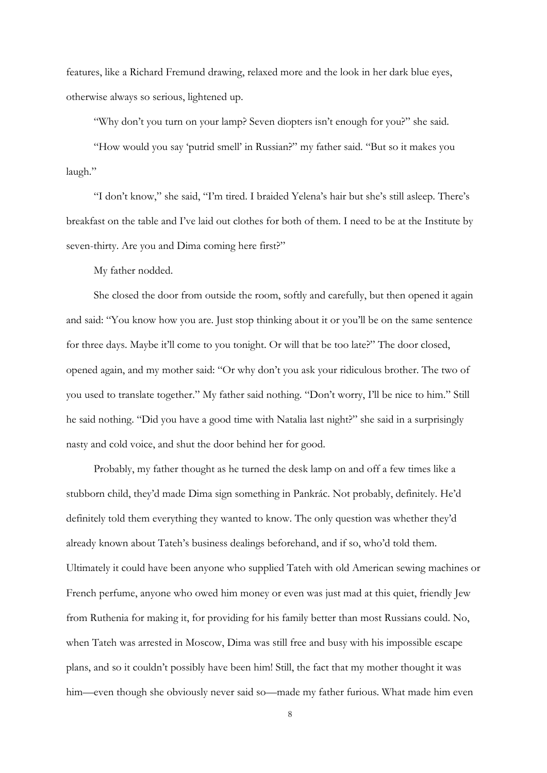features, like a Richard Fremund drawing, relaxed more and the look in her dark blue eyes, otherwise always so serious, lightened up.

"Why don't you turn on your lamp? Seven diopters isn't enough for you?" she said.

"How would you say 'putrid smell' in Russian?" my father said. "But so it makes you laugh."

"I don't know," she said, "I'm tired. I braided Yelena's hair but she's still asleep. There's breakfast on the table and I've laid out clothes for both of them. I need to be at the Institute by seven-thirty. Are you and Dima coming here first?"

My father nodded.

She closed the door from outside the room, softly and carefully, but then opened it again and said: "You know how you are. Just stop thinking about it or you'll be on the same sentence for three days. Maybe it'll come to you tonight. Or will that be too late?" The door closed, opened again, and my mother said: "Or why don't you ask your ridiculous brother. The two of you used to translate together." My father said nothing. "Don't worry, I'll be nice to him." Still he said nothing. "Did you have a good time with Natalia last night?" she said in a surprisingly nasty and cold voice, and shut the door behind her for good.

Probably, my father thought as he turned the desk lamp on and off a few times like a stubborn child, they'd made Dima sign something in Pankrác. Not probably, definitely. He'd definitely told them everything they wanted to know. The only question was whether they'd already known about Tateh's business dealings beforehand, and if so, who'd told them. Ultimately it could have been anyone who supplied Tateh with old American sewing machines or French perfume, anyone who owed him money or even was just mad at this quiet, friendly Jew from Ruthenia for making it, for providing for his family better than most Russians could. No, when Tateh was arrested in Moscow, Dima was still free and busy with his impossible escape plans, and so it couldn't possibly have been him! Still, the fact that my mother thought it was him—even though she obviously never said so—made my father furious. What made him even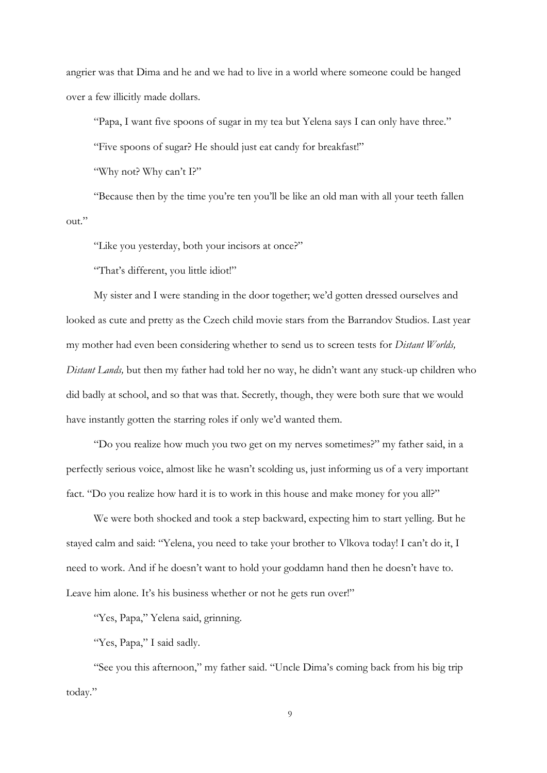angrier was that Dima and he and we had to live in a world where someone could be hanged over a few illicitly made dollars.

"Papa, I want five spoons of sugar in my tea but Yelena says I can only have three."

"Five spoons of sugar? He should just eat candy for breakfast!"

"Why not? Why can't I?"

"Because then by the time you're ten you'll be like an old man with all your teeth fallen out."

"Like you yesterday, both your incisors at once?"

"That's different, you little idiot!"

My sister and I were standing in the door together; we'd gotten dressed ourselves and looked as cute and pretty as the Czech child movie stars from the Barrandov Studios. Last year my mother had even been considering whether to send us to screen tests for *Distant Worlds, Distant Lands,* but then my father had told her no way, he didn't want any stuck-up children who did badly at school, and so that was that. Secretly, though, they were both sure that we would have instantly gotten the starring roles if only we'd wanted them.

"Do you realize how much you two get on my nerves sometimes?" my father said, in a perfectly serious voice, almost like he wasn't scolding us, just informing us of a very important fact. "Do you realize how hard it is to work in this house and make money for you all?"

We were both shocked and took a step backward, expecting him to start yelling. But he stayed calm and said: "Yelena, you need to take your brother to Vlkova today! I can't do it, I need to work. And if he doesn't want to hold your goddamn hand then he doesn't have to. Leave him alone. It's his business whether or not he gets run over!"

"Yes, Papa," Yelena said, grinning.

"Yes, Papa," I said sadly.

"See you this afternoon," my father said. "Uncle Dima's coming back from his big trip today."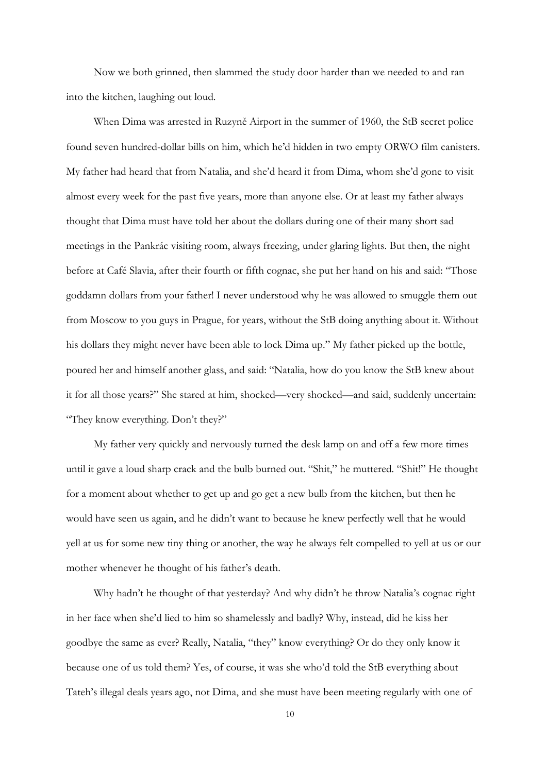Now we both grinned, then slammed the study door harder than we needed to and ran into the kitchen, laughing out loud.

When Dima was arrested in Ruzyně Airport in the summer of 1960, the StB secret police found seven hundred-dollar bills on him, which he'd hidden in two empty ORWO film canisters. My father had heard that from Natalia, and she'd heard it from Dima, whom she'd gone to visit almost every week for the past five years, more than anyone else. Or at least my father always thought that Dima must have told her about the dollars during one of their many short sad meetings in the Pankrác visiting room, always freezing, under glaring lights. But then, the night before at Café Slavia, after their fourth or fifth cognac, she put her hand on his and said: "Those goddamn dollars from your father! I never understood why he was allowed to smuggle them out from Moscow to you guys in Prague, for years, without the StB doing anything about it. Without his dollars they might never have been able to lock Dima up." My father picked up the bottle, poured her and himself another glass, and said: "Natalia, how do you know the StB knew about it for all those years?" She stared at him, shocked—very shocked—and said, suddenly uncertain: "They know everything. Don't they?"

My father very quickly and nervously turned the desk lamp on and off a few more times until it gave a loud sharp crack and the bulb burned out. "Shit," he muttered. "Shit!" He thought for a moment about whether to get up and go get a new bulb from the kitchen, but then he would have seen us again, and he didn't want to because he knew perfectly well that he would yell at us for some new tiny thing or another, the way he always felt compelled to yell at us or our mother whenever he thought of his father's death.

Why hadn't he thought of that yesterday? And why didn't he throw Natalia's cognac right in her face when she'd lied to him so shamelessly and badly? Why, instead, did he kiss her goodbye the same as ever? Really, Natalia, "they" know everything? Or do they only know it because one of us told them? Yes, of course, it was she who'd told the StB everything about Tateh's illegal deals years ago, not Dima, and she must have been meeting regularly with one of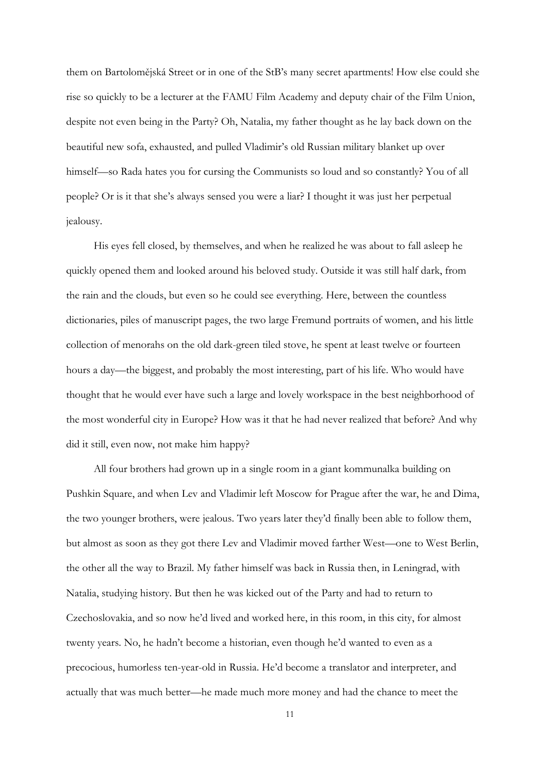them on Bartolomějská Street or in one of the StB's many secret apartments! How else could she rise so quickly to be a lecturer at the FAMU Film Academy and deputy chair of the Film Union, despite not even being in the Party? Oh, Natalia, my father thought as he lay back down on the beautiful new sofa, exhausted, and pulled Vladimir's old Russian military blanket up over himself—so Rada hates you for cursing the Communists so loud and so constantly? You of all people? Or is it that she's always sensed you were a liar? I thought it was just her perpetual jealousy.

His eyes fell closed, by themselves, and when he realized he was about to fall asleep he quickly opened them and looked around his beloved study. Outside it was still half dark, from the rain and the clouds, but even so he could see everything. Here, between the countless dictionaries, piles of manuscript pages, the two large Fremund portraits of women, and his little collection of menorahs on the old dark-green tiled stove, he spent at least twelve or fourteen hours a day—the biggest, and probably the most interesting, part of his life. Who would have thought that he would ever have such a large and lovely workspace in the best neighborhood of the most wonderful city in Europe? How was it that he had never realized that before? And why did it still, even now, not make him happy?

All four brothers had grown up in a single room in a giant kommunalka building on Pushkin Square, and when Lev and Vladimir left Moscow for Prague after the war, he and Dima, the two younger brothers, were jealous. Two years later they'd finally been able to follow them, but almost as soon as they got there Lev and Vladimir moved farther West—one to West Berlin, the other all the way to Brazil. My father himself was back in Russia then, in Leningrad, with Natalia, studying history. But then he was kicked out of the Party and had to return to Czechoslovakia, and so now he'd lived and worked here, in this room, in this city, for almost twenty years. No, he hadn't become a historian, even though he'd wanted to even as a precocious, humorless ten-year-old in Russia. He'd become a translator and interpreter, and actually that was much better—he made much more money and had the chance to meet the

11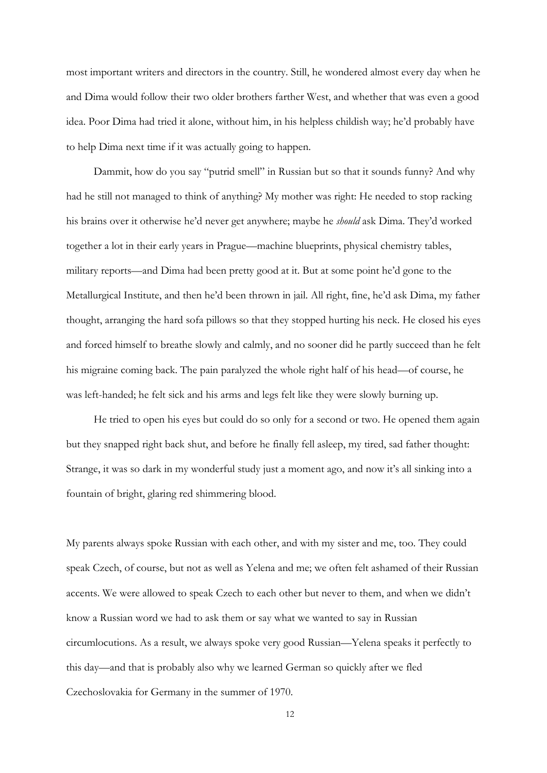most important writers and directors in the country. Still, he wondered almost every day when he and Dima would follow their two older brothers farther West, and whether that was even a good idea. Poor Dima had tried it alone, without him, in his helpless childish way; he'd probably have to help Dima next time if it was actually going to happen.

Dammit, how do you say "putrid smell" in Russian but so that it sounds funny? And why had he still not managed to think of anything? My mother was right: He needed to stop racking his brains over it otherwise he'd never get anywhere; maybe he *should* ask Dima. They'd worked together a lot in their early years in Prague—machine blueprints, physical chemistry tables, military reports—and Dima had been pretty good at it. But at some point he'd gone to the Metallurgical Institute, and then he'd been thrown in jail. All right, fine, he'd ask Dima, my father thought, arranging the hard sofa pillows so that they stopped hurting his neck. He closed his eyes and forced himself to breathe slowly and calmly, and no sooner did he partly succeed than he felt his migraine coming back. The pain paralyzed the whole right half of his head—of course, he was left-handed; he felt sick and his arms and legs felt like they were slowly burning up.

He tried to open his eyes but could do so only for a second or two. He opened them again but they snapped right back shut, and before he finally fell asleep, my tired, sad father thought: Strange, it was so dark in my wonderful study just a moment ago, and now it's all sinking into a fountain of bright, glaring red shimmering blood.

My parents always spoke Russian with each other, and with my sister and me, too. They could speak Czech, of course, but not as well as Yelena and me; we often felt ashamed of their Russian accents. We were allowed to speak Czech to each other but never to them, and when we didn't know a Russian word we had to ask them or say what we wanted to say in Russian circumlocutions. As a result, we always spoke very good Russian—Yelena speaks it perfectly to this day—and that is probably also why we learned German so quickly after we fled Czechoslovakia for Germany in the summer of 1970.